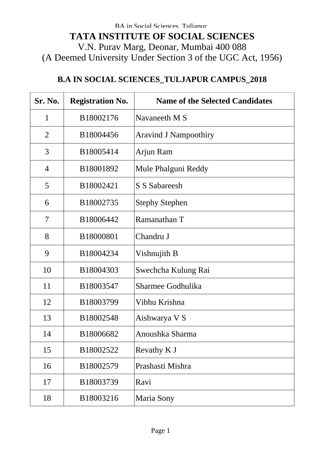## **B.A IN SOCIAL SCIENCES\_TULJAPUR CAMPUS\_2018**

| Sr. No.        | <b>Registration No.</b> | <b>Name of the Selected Candidates</b> |
|----------------|-------------------------|----------------------------------------|
| $\mathbf{1}$   | B18002176               | Navaneeth M S                          |
| $\overline{2}$ | B18004456               | <b>Aravind J Nampoothiry</b>           |
| 3              | B18005414               | Arjun Ram                              |
| $\overline{4}$ | B18001892               | Mule Phalguni Reddy                    |
| 5              | B18002421               | <b>S S Sabareesh</b>                   |
| 6              | B18002735               | <b>Stephy Stephen</b>                  |
| 7              | B18006442               | Ramanathan T                           |
| 8              | B18000801               | Chandru J                              |
| 9              | B18004234               | Vishnujith B                           |
| 10             | B18004303               | Swechcha Kulung Rai                    |
| 11             | B18003547               | Sharmee Godhulika                      |
| 12             | B18003799               | Vibhu Krishna                          |
| 13             | B18002548               | Aishwarya V S                          |
| 14             | B18006682               | Anoushka Sharma                        |
| 15             | B18002522               | Revathy K J                            |
| 16             | B18002579               | Prashasti Mishra                       |
| 17             | B18003739               | Ravi                                   |
| 18             | B18003216               | <b>Maria Sony</b>                      |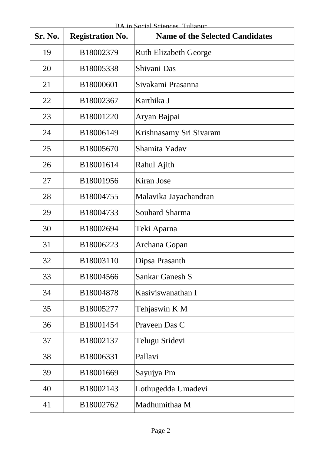| Sr. No. | <b>Registration No.</b> | <b>Name of the Selected Candidates</b> |
|---------|-------------------------|----------------------------------------|
| 19      | B18002379               | <b>Ruth Elizabeth George</b>           |
| 20      | B18005338               | Shivani Das                            |
| 21      | B18000601               | Sivakami Prasanna                      |
| 22      | B18002367               | Karthika J                             |
| 23      | B18001220               | Aryan Bajpai                           |
| 24      | B18006149               | Krishnasamy Sri Sivaram                |
| 25      | B18005670               | Shamita Yadav                          |
| 26      | B18001614               | Rahul Ajith                            |
| 27      | B18001956               | Kiran Jose                             |
| 28      | B18004755               | Malavika Jayachandran                  |
| 29      | B18004733               | <b>Souhard Sharma</b>                  |
| 30      | B18002694               | Teki Aparna                            |
| 31      | B18006223               | Archana Gopan                          |
| 32      | B18003110               | Dipsa Prasanth                         |
| 33      | B18004566               | Sankar Ganesh S                        |
| 34      | B18004878               | Kasiviswanathan I                      |
| 35      | B18005277               | Tehjaswin K M                          |
| 36      | B18001454               | Praveen Das C                          |
| 37      | B18002137               | Telugu Sridevi                         |
| 38      | B18006331               | Pallavi                                |
| 39      | B18001669               | Sayujya Pm                             |
| 40      | B18002143               | Lothugedda Umadevi                     |
| 41      | B18002762               | Madhumithaa M                          |